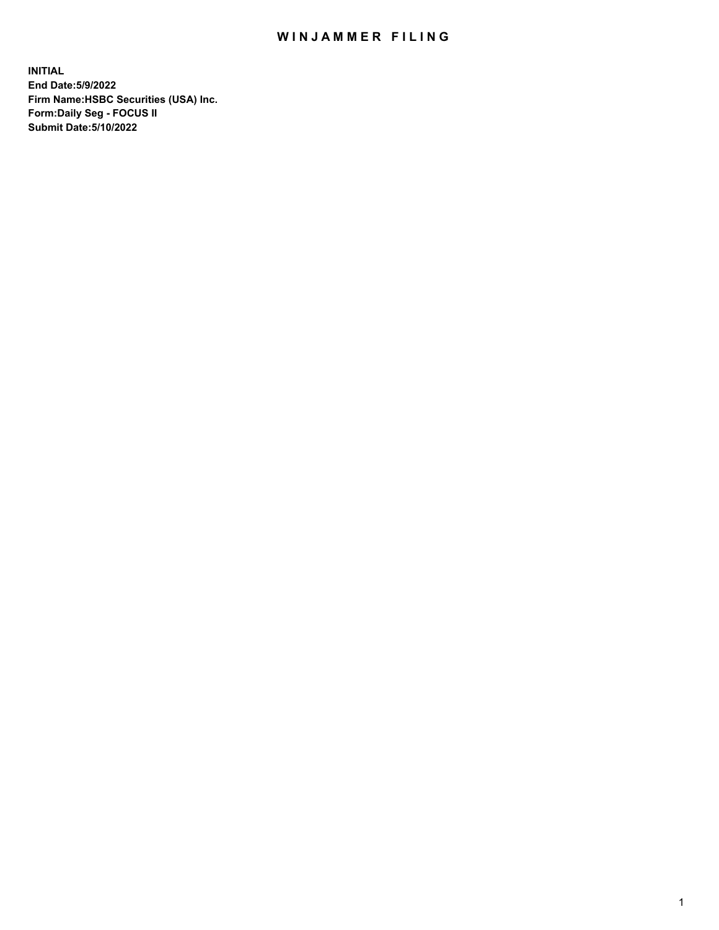## WIN JAMMER FILING

**INITIAL End Date:5/9/2022 Firm Name:HSBC Securities (USA) Inc. Form:Daily Seg - FOCUS II Submit Date:5/10/2022**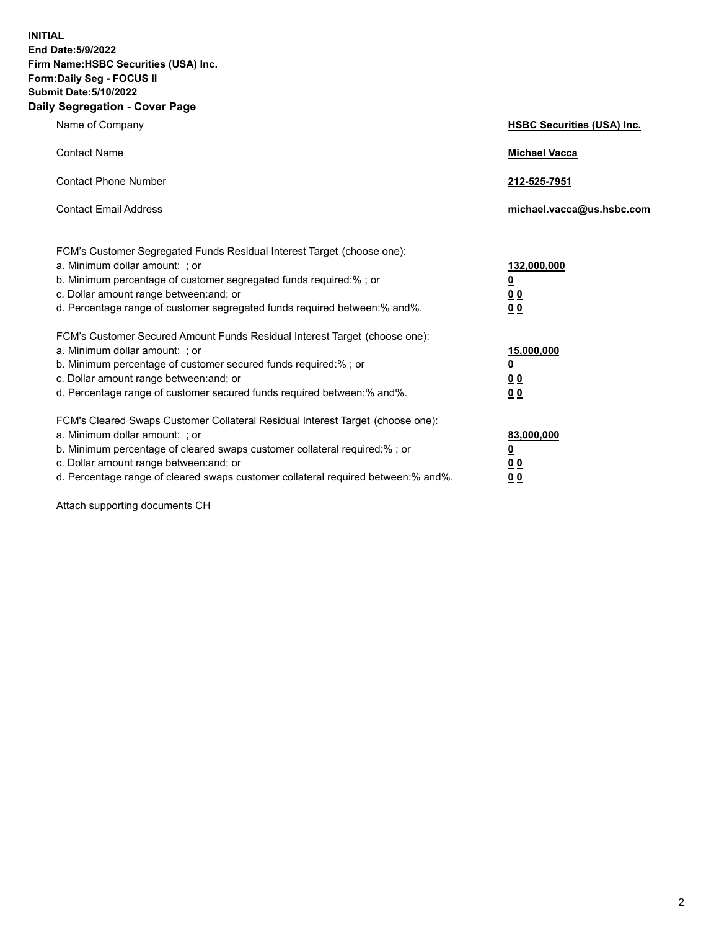**INITIAL End Date:5/9/2022 Firm Name:HSBC Securities (USA) Inc. Form:Daily Seg - FOCUS II Submit Date:5/10/2022 Daily Segregation - Cover Page**

| Name of Company                                                                                                                                                                                                                                                                                                                | <b>HSBC Securities (USA) Inc.</b>                                          |
|--------------------------------------------------------------------------------------------------------------------------------------------------------------------------------------------------------------------------------------------------------------------------------------------------------------------------------|----------------------------------------------------------------------------|
| <b>Contact Name</b>                                                                                                                                                                                                                                                                                                            | <b>Michael Vacca</b>                                                       |
| <b>Contact Phone Number</b>                                                                                                                                                                                                                                                                                                    | 212-525-7951                                                               |
| <b>Contact Email Address</b>                                                                                                                                                                                                                                                                                                   | michael.vacca@us.hsbc.com                                                  |
| FCM's Customer Segregated Funds Residual Interest Target (choose one):<br>a. Minimum dollar amount: ; or<br>b. Minimum percentage of customer segregated funds required:% ; or<br>c. Dollar amount range between: and; or<br>d. Percentage range of customer segregated funds required between:% and%.                         | 132,000,000<br>$\overline{\mathbf{0}}$<br>0 <sub>0</sub><br>0 <sub>0</sub> |
| FCM's Customer Secured Amount Funds Residual Interest Target (choose one):<br>a. Minimum dollar amount: ; or<br>b. Minimum percentage of customer secured funds required:% ; or<br>c. Dollar amount range between: and; or<br>d. Percentage range of customer secured funds required between: % and %.                         | 15,000,000<br><u>0</u><br>0 <sub>0</sub><br>0 <sub>0</sub>                 |
| FCM's Cleared Swaps Customer Collateral Residual Interest Target (choose one):<br>a. Minimum dollar amount: ; or<br>b. Minimum percentage of cleared swaps customer collateral required:% ; or<br>c. Dollar amount range between: and; or<br>d. Percentage range of cleared swaps customer collateral required between:% and%. | 83,000,000<br><u>0</u><br>00<br>00                                         |

Attach supporting documents CH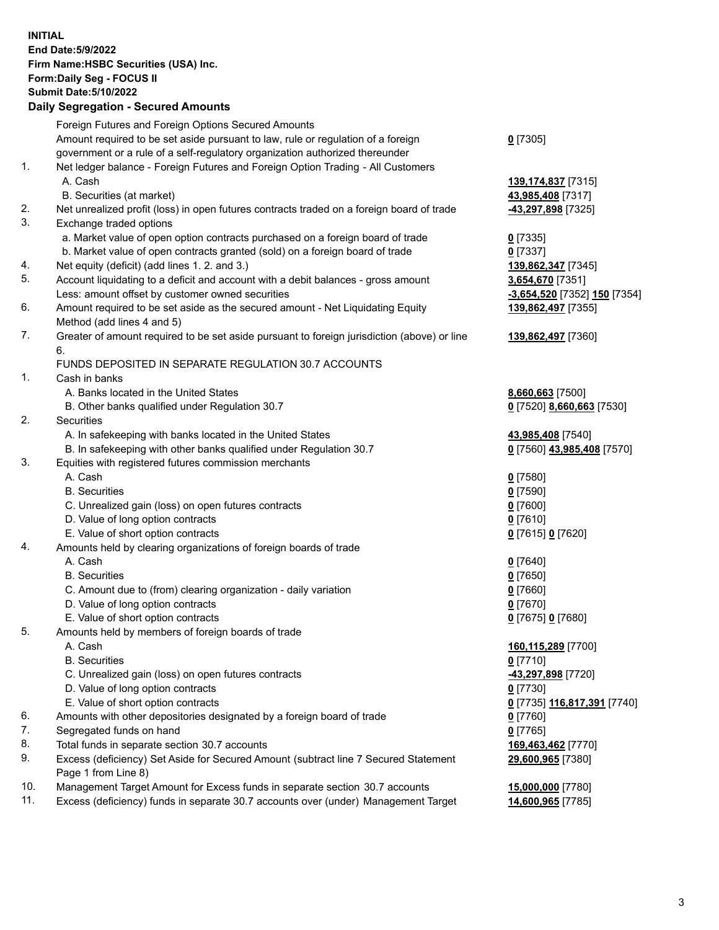**INITIAL End Date:5/9/2022 Firm Name:HSBC Securities (USA) Inc. Form:Daily Seg - FOCUS II Submit Date:5/10/2022 Daily Segregation - Secured Amounts**

|     | Foreign Futures and Foreign Options Secured Amounts                                         |                                    |
|-----|---------------------------------------------------------------------------------------------|------------------------------------|
|     | Amount required to be set aside pursuant to law, rule or regulation of a foreign            | $0$ [7305]                         |
|     | government or a rule of a self-regulatory organization authorized thereunder                |                                    |
| 1.  | Net ledger balance - Foreign Futures and Foreign Option Trading - All Customers             |                                    |
|     | A. Cash                                                                                     | 139, 174, 837 [7315]               |
|     | B. Securities (at market)                                                                   | 43,985,408 [7317]                  |
| 2.  | Net unrealized profit (loss) in open futures contracts traded on a foreign board of trade   | -43,297,898 [7325]                 |
| 3.  | Exchange traded options                                                                     |                                    |
|     | a. Market value of open option contracts purchased on a foreign board of trade              | $0$ [7335]                         |
|     | b. Market value of open contracts granted (sold) on a foreign board of trade                | $0$ [7337]                         |
| 4.  | Net equity (deficit) (add lines 1. 2. and 3.)                                               | 139,862,347 [7345]                 |
| 5.  | Account liquidating to a deficit and account with a debit balances - gross amount           | 3,654,670 [7351]                   |
|     | Less: amount offset by customer owned securities                                            | -3,654,520 [7352] 150 [7354]       |
| 6.  | Amount required to be set aside as the secured amount - Net Liquidating Equity              | 139,862,497 [7355]                 |
|     | Method (add lines 4 and 5)                                                                  |                                    |
| 7.  | Greater of amount required to be set aside pursuant to foreign jurisdiction (above) or line | 139,862,497 [7360]                 |
|     | 6.                                                                                          |                                    |
|     | FUNDS DEPOSITED IN SEPARATE REGULATION 30.7 ACCOUNTS                                        |                                    |
| 1.  | Cash in banks                                                                               |                                    |
|     | A. Banks located in the United States                                                       | 8,660,663 [7500]                   |
|     | B. Other banks qualified under Regulation 30.7                                              | 0 [7520] 8,660,663 [7530]          |
| 2.  | Securities                                                                                  |                                    |
|     | A. In safekeeping with banks located in the United States                                   | 43,985,408 [7540]                  |
|     | B. In safekeeping with other banks qualified under Regulation 30.7                          | 0 [7560] 43,985,408 [7570]         |
| 3.  | Equities with registered futures commission merchants                                       |                                    |
|     | A. Cash                                                                                     | $0$ [7580]                         |
|     | <b>B.</b> Securities                                                                        | $0$ [7590]                         |
|     | C. Unrealized gain (loss) on open futures contracts                                         | $0$ [7600]                         |
|     | D. Value of long option contracts                                                           | $0$ [7610]                         |
|     | E. Value of short option contracts                                                          | 0 [7615] 0 [7620]                  |
| 4.  | Amounts held by clearing organizations of foreign boards of trade                           |                                    |
|     | A. Cash                                                                                     | $0$ [7640]                         |
|     | <b>B.</b> Securities                                                                        | $0$ [7650]                         |
|     | C. Amount due to (from) clearing organization - daily variation                             | $0$ [7660]                         |
|     | D. Value of long option contracts                                                           | $0$ [7670]                         |
|     | E. Value of short option contracts                                                          | 0 [7675] 0 [7680]                  |
| 5.  | Amounts held by members of foreign boards of trade                                          |                                    |
|     | A. Cash                                                                                     | <u>160,115,289 [</u> 7700]         |
|     | <b>B.</b> Securities                                                                        | $0$ [7710]                         |
|     | C. Unrealized gain (loss) on open futures contracts                                         | <u>-43,297,898</u> [7720]          |
|     | D. Value of long option contracts                                                           | $0$ [7730]                         |
|     | E. Value of short option contracts                                                          | <u>0</u> [7735] 116,817,391 [7740] |
| 6.  | Amounts with other depositories designated by a foreign board of trade                      | $0$ [7760]                         |
| 7.  | Segregated funds on hand                                                                    | $0$ [7765]                         |
| 8.  | Total funds in separate section 30.7 accounts                                               | 169,463,462 [7770]                 |
| 9.  | Excess (deficiency) Set Aside for Secured Amount (subtract line 7 Secured Statement         | 29,600,965 [7380]                  |
|     | Page 1 from Line 8)                                                                         |                                    |
| 10. | Management Target Amount for Excess funds in separate section 30.7 accounts                 | 15,000,000 [7780]                  |
| 11. | Excess (deficiency) funds in separate 30.7 accounts over (under) Management Target          | 14,600,965 [7785]                  |
|     |                                                                                             |                                    |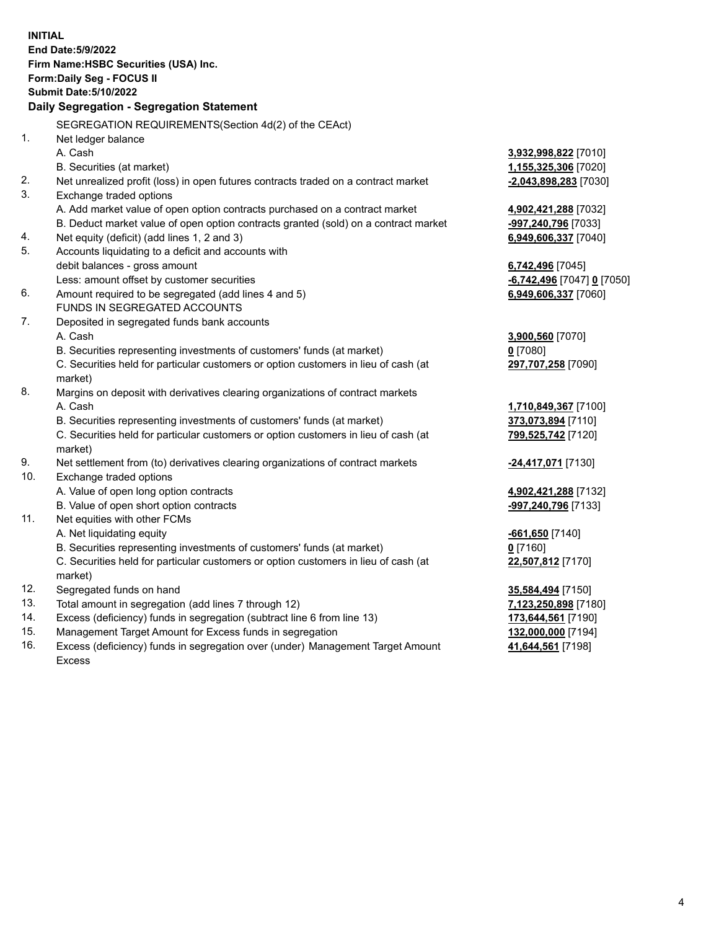| <b>INITIAL</b> | End Date: 5/9/2022<br>Firm Name: HSBC Securities (USA) Inc.<br><b>Form:Daily Seg - FOCUS II</b><br><b>Submit Date: 5/10/2022</b> |                                          |
|----------------|----------------------------------------------------------------------------------------------------------------------------------|------------------------------------------|
|                | Daily Segregation - Segregation Statement                                                                                        |                                          |
|                | SEGREGATION REQUIREMENTS (Section 4d(2) of the CEAct)                                                                            |                                          |
| 1.             | Net ledger balance                                                                                                               |                                          |
|                | A. Cash                                                                                                                          | 3,932,998,822 [7010]                     |
|                | B. Securities (at market)                                                                                                        | <u>1,155,325,306</u> [7020]              |
| 2.             | Net unrealized profit (loss) in open futures contracts traded on a contract market                                               | -2,043,898,283 [7030]                    |
| 3.             | Exchange traded options                                                                                                          |                                          |
|                | A. Add market value of open option contracts purchased on a contract market                                                      | 4,902,421,288 [7032]                     |
|                | B. Deduct market value of open option contracts granted (sold) on a contract market                                              | <u>-997,240,796</u> [7033]               |
| 4.             | Net equity (deficit) (add lines 1, 2 and 3)                                                                                      | 6,949,606,337 [7040]                     |
| 5.             | Accounts liquidating to a deficit and accounts with                                                                              |                                          |
|                | debit balances - gross amount                                                                                                    | 6,742,496 [7045]                         |
|                | Less: amount offset by customer securities                                                                                       | <u>-6,742,496</u> [7047] <u>0</u> [7050] |
| 6.             | Amount required to be segregated (add lines 4 and 5)                                                                             | 6,949,606,337 [7060]                     |
|                | FUNDS IN SEGREGATED ACCOUNTS                                                                                                     |                                          |
| 7.             | Deposited in segregated funds bank accounts                                                                                      |                                          |
|                | A. Cash                                                                                                                          | 3,900,560 [7070]                         |
|                | B. Securities representing investments of customers' funds (at market)                                                           | <u>0</u> [7080]                          |
|                | C. Securities held for particular customers or option customers in lieu of cash (at<br>market)                                   | 297,707,258 [7090]                       |
| 8.             | Margins on deposit with derivatives clearing organizations of contract markets                                                   |                                          |
|                | A. Cash                                                                                                                          | 1,710,849,367 [7100]                     |
|                | B. Securities representing investments of customers' funds (at market)                                                           | 373,073,894 [7110]                       |
|                | C. Securities held for particular customers or option customers in lieu of cash (at                                              | 799,525,742 [7120]                       |
|                | market)                                                                                                                          |                                          |
| 9.             | Net settlement from (to) derivatives clearing organizations of contract markets                                                  | <mark>-24,417,071</mark> [7130]          |
| 10.            | Exchange traded options                                                                                                          |                                          |
|                | A. Value of open long option contracts                                                                                           | 4,902,421,288 [7132]                     |
|                | B. Value of open short option contracts                                                                                          | -997,240,796 [7133]                      |
| 11.            | Net equities with other FCMs                                                                                                     |                                          |
|                | A. Net liquidating equity                                                                                                        | <u>-661,650</u> [7140]                   |
|                | B. Securities representing investments of customers' funds (at market)                                                           | $0$ [7160]                               |
|                | C. Securities held for particular customers or option customers in lieu of cash (at                                              | 22,507,812 [7170]                        |
|                | market)                                                                                                                          |                                          |
| 12.            | Segregated funds on hand                                                                                                         | <u>35,584,494</u> [7150]                 |
| 13.            | Total amount in segregation (add lines 7 through 12)                                                                             | 7,123,250,898 [7180]                     |
| 14.            | Excess (deficiency) funds in segregation (subtract line 6 from line 13)                                                          | 173,644,561 [7190]                       |
| 15.            | Management Target Amount for Excess funds in segregation                                                                         | 132,000,000 [7194]                       |

16. Excess (deficiency) funds in segregation over (under) Management Target Amount Excess

**41,644,561** [7198]